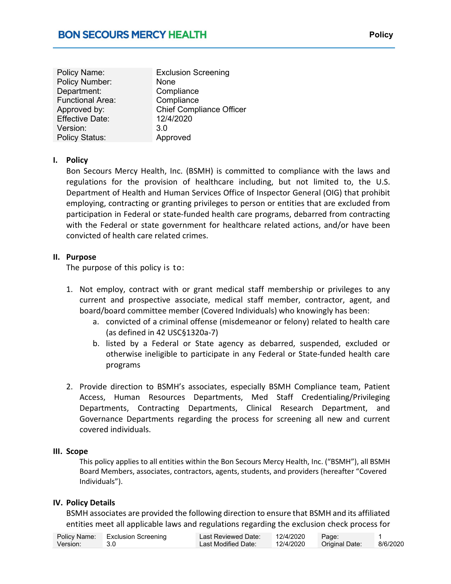| Policy Name:<br>Policy Number:<br>Department:<br><b>Functional Area:</b><br>Approved by:<br><b>Effective Date:</b> | <b>Exclusion Screening</b><br>None<br>Compliance<br>Compliance<br><b>Chief Compliance Officer</b><br>12/4/2020 |
|--------------------------------------------------------------------------------------------------------------------|----------------------------------------------------------------------------------------------------------------|
|                                                                                                                    |                                                                                                                |
| Version:                                                                                                           | 3.0                                                                                                            |
| <b>Policy Status:</b>                                                                                              | Approved                                                                                                       |

### I. Policy

Bon Secours Mercy Health, Inc. (BSMH) is committed to compliance with the laws and regulations for the provision of healthcare including, but not limited to, the U.S. Department of Health and Human Services Office of Inspector General (OIG) that prohibit employing, contracting or granting privileges to person or entities that are excluded from participation in Federal or state-funded health care programs, debarred from contracting with the Federal or state government for healthcare related actions, and/or have been convicted of health care related crimes.

#### II. Purpose

The purpose of this policy is to:

- 1. Not employ, contract with or grant medical staff membership or privileges to any current and prospective associate, medical staff member, contractor, agent, and board/board committee member (Covered Individuals) who knowingly has been:
	- a. convicted of a criminal offense (misdemeanor or felony) related to health care (as defined in 42 USC§1320a-7)
	- b. listed by a Federal or State agency as debarred, suspended, excluded or otherwise ineligible to participate in any Federal or State-funded health care programs
- 2. Provide direction to BSMH's associates, especially BSMH Compliance team, Patient Access, Human Resources Departments, Med Staff Credentialing/Privileging Departments, Contracting Departments, Clinical Research Department, and Governance Departments regarding the process for screening all new and current covered individuals.

#### III. Scope

This policy applies to all entities within the Bon Secours Mercy Health, Inc. ("BSMH"), all BSMH Board Members, associates, contractors, agents, students, and providers (hereafter "Covered Individuals").

### IV. Policy Details

BSMH associates are provided the following direction to ensure that BSMH and its affiliated entities meet all applicable laws and regulations regarding the exclusion check process for

|          | Policy Name: Exclusion Screening | Last Reviewed Date: | 12/4/2020 | Page:          |          |
|----------|----------------------------------|---------------------|-----------|----------------|----------|
| Version: |                                  | Last Modified Date: | 12/4/2020 | Original Date: | 8/6/2020 |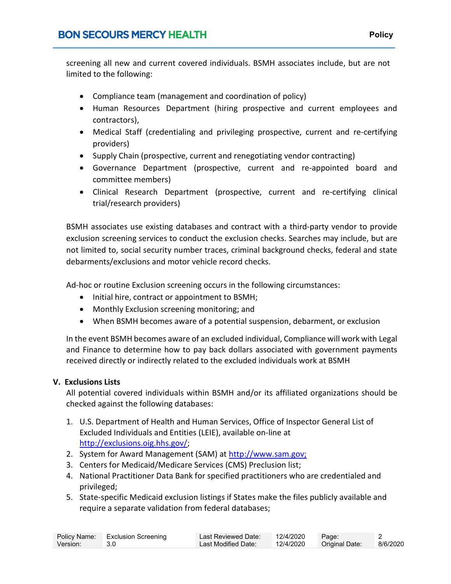screening all new and current covered individuals. BSMH associates include, but are not limited to the following:

- Compliance team (management and coordination of policy)
- Human Resources Department (hiring prospective and current employees and contractors),
- Medical Staff (credentialing and privileging prospective, current and re-certifying providers)
- Supply Chain (prospective, current and renegotiating vendor contracting)
- Governance Department (prospective, current and re-appointed board and committee members)
- Clinical Research Department (prospective, current and re-certifying clinical trial/research providers)

BSMH associates use existing databases and contract with a third-party vendor to provide exclusion screening services to conduct the exclusion checks. Searches may include, but are not limited to, social security number traces, criminal background checks, federal and state debarments/exclusions and motor vehicle record checks.

Ad-hoc or routine Exclusion screening occurs in the following circumstances:

- Initial hire, contract or appointment to BSMH;
- Monthly Exclusion screening monitoring; and
- When BSMH becomes aware of a potential suspension, debarment, or exclusion

In the event BSMH becomes aware of an excluded individual, Compliance will work with Legal and Finance to determine how to pay back dollars associated with government payments received directly or indirectly related to the excluded individuals work at BSMH

### V. Exclusions Lists

All potential covered individuals within BSMH and/or its affiliated organizations should be checked against the following databases:

- 1. U.S. Department of Health and Human Services, Office of Inspector General List of Excluded Individuals and Entities (LEIE), available on-line at http://exclusions.oig.hhs.gov/;
- 2. System for Award Management (SAM) at http://www.sam.gov;
- 3. Centers for Medicaid/Medicare Services (CMS) Preclusion list;
- 4. National Practitioner Data Bank for specified practitioners who are credentialed and privileged;
- 5. State-specific Medicaid exclusion listings if States make the files publicly available and require a separate validation from federal databases;

|          | Policy Name: Exclusion Screening | Last Reviewed Date: | 12/4/2020 | Page:          |          |
|----------|----------------------------------|---------------------|-----------|----------------|----------|
| Version: |                                  | Last Modified Date: | 12/4/2020 | Original Date: | 8/6/2020 |